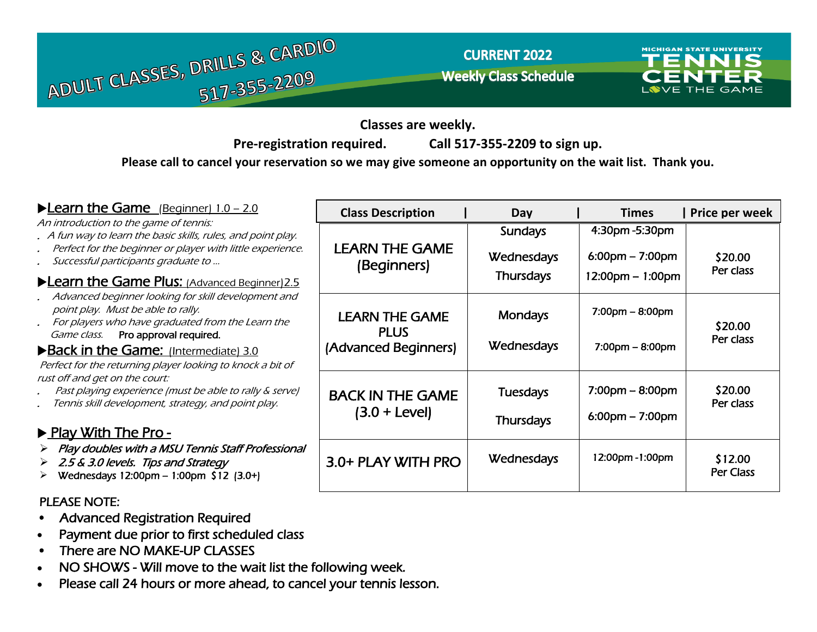

**CURRENT 2022 Weekly Class Schedule** 



**Classes are weekly.** 

**Pre-registration required. Call 517-355-2209 to sign up.**

**Please call to cancel your reservation so we may give someone an opportunity on the wait list. Thank you.**

| <b>Learn the Game</b> (Beginner) 1.0 - 2.0                                                                                                     | <b>Class Description</b>             | Day               | <b>Times</b>                      | Price per week       |
|------------------------------------------------------------------------------------------------------------------------------------------------|--------------------------------------|-------------------|-----------------------------------|----------------------|
| An introduction to the game of tennis:<br>. A fun way to learn the basic skills, rules, and point play.                                        |                                      | <b>Sundays</b>    | 4:30pm - 5:30pm                   |                      |
| Perfect for the beginner or player with little experience.<br>Successful participants graduate to                                              | LEARN THE GAME<br>(Beginners)        | <b>Wednesdays</b> | $6:00 \text{pm} - 7:00 \text{pm}$ | \$20.00<br>Per class |
| <b>Learn the Game Plus: (Advanced Beginner) 2.5</b>                                                                                            |                                      | <b>Thursdays</b>  | 12:00pm - 1:00pm                  |                      |
| Advanced beginner looking for skill development and<br>point play. Must be able to rally.<br>For players who have graduated from the Learn the | <b>LEARN THE GAME</b><br><b>PLUS</b> | <b>Mondays</b>    | $7:00 \text{pm} - 8:00 \text{pm}$ | \$20.00              |
| Pro approval required.<br>Game class.<br>Back in the Game: (Intermediate) 3.0                                                                  | (Advanced Beginners)                 | Wednesdays        | $7:00$ pm – 8:00pm                | Per class            |
| Perfect for the returning player looking to knock a bit of<br>rust off and get on the court:                                                   |                                      |                   |                                   |                      |
| Past playing experience (must be able to rally & serve)<br>Tennis skill development, strategy, and point play.                                 | <b>BACK IN THE GAME</b>              | <b>Tuesdays</b>   | $7:00 \text{pm} - 8:00 \text{pm}$ | \$20.00<br>Per class |
|                                                                                                                                                | $(3.0 + Level)$                      | <b>Thursdays</b>  | $6:00 \text{pm} - 7:00 \text{pm}$ |                      |
| ▶ Play With The Pro-                                                                                                                           |                                      |                   |                                   |                      |
| Play doubles with a MSU Tennis Staff Professional<br>➤<br>2.5 & 3.0 levels. Tips and Strategy<br>Wednesdays 12:00pm - 1:00pm \$12 (3.0+)<br>➤  | 3.0+ PLAY WITH PRO                   | Wednesdays        | 12:00pm-1:00pm                    | \$12.00<br>Per Class |
| <b>PLEASE NOTE:</b>                                                                                                                            |                                      |                   |                                   |                      |

- Advanced Registration Required
- Payment due prior to first scheduled class
- There are NO MAKE-UP CLASSES
- NO SHOWS Will move to the wait list the following week.
- Please call 24 hours or more ahead, to cancel your tennis lesson.